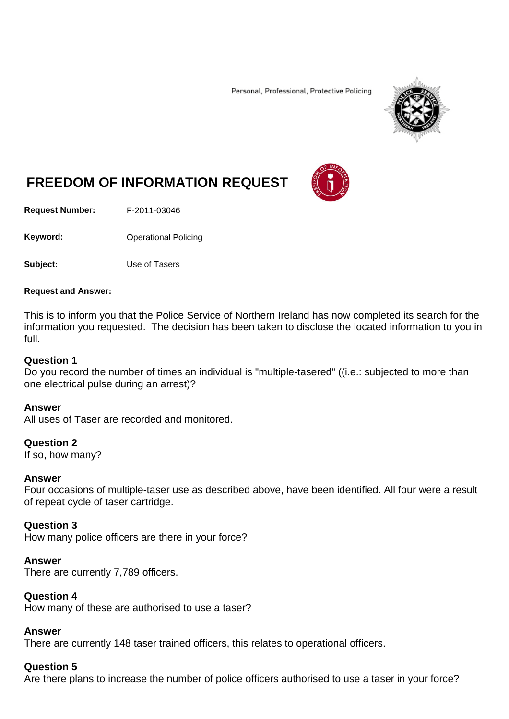Personal, Professional, Protective Policing



# **FREEDOM OF INFORMATION REQUEST**

**Request Number:** F-2011-03046

Keyword: **Channel Policing** Operational Policing

**Subject:** Use of Tasers

#### **Request and Answer:**

This is to inform you that the Police Service of Northern Ireland has now completed its search for the information you requested. The decision has been taken to disclose the located information to you in full.

#### **Question 1**

Do you record the number of times an individual is "multiple-tasered" ((i.e.: subjected to more than one electrical pulse during an arrest)?

#### **Answer**

All uses of Taser are recorded and monitored.

#### **Question 2**

If so, how many?

#### **Answer**

Four occasions of multiple-taser use as described above, have been identified. All four were a result of repeat cycle of taser cartridge.

## **Question 3**

How many police officers are there in your force?

#### **Answer**

There are currently 7,789 officers.

#### **Question 4**

How many of these are authorised to use a taser?

#### **Answer**

There are currently 148 taser trained officers, this relates to operational officers.

## **Question 5**

Are there plans to increase the number of police officers authorised to use a taser in your force?